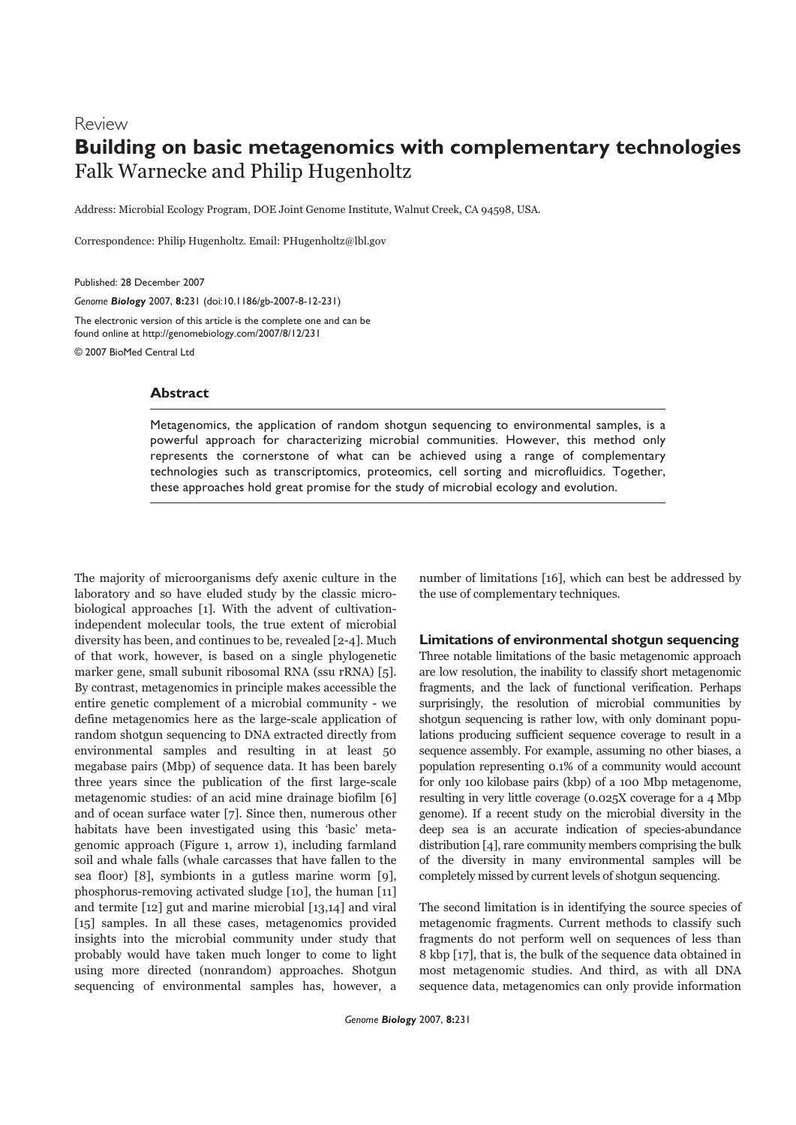# Review **Building on basic metagenomics with complementary technologies** Falk Warnecke and Philip Hugenholtz

Address: Microbial Ecology Program, DOE Joint Genome Institute, Walnut Creek, CA 94598, USA.

Correspondence: Philip Hugenholtz. Email: PHugenholtz@lbl.gov

Published: 28 December 2007

*Genome Biology* 2007, **8:**231 (doi:10.1186/gb-2007-8-12-231)

The electronic version of this article is the complete one and can be found online at http://genomebiology.com/2007/8/12/231 © 2007 BioMed Central Ltd

# **Abstract**

Metagenomics, the application of random shotgun sequencing to environmental samples, is a powerful approach for characterizing microbial communities. However, this method only represents the cornerstone of what can be achieved using a range of complementary technologies such as transcriptomics, proteomics, cell sorting and microfluidics. Together, these approaches hold great promise for the study of microbial ecology and evolution.

The majority of microorganisms defy axenic culture in the laboratory and so have eluded study by the classic microbiological approaches [1]. With the advent of cultivationindependent molecular tools, the true extent of microbial diversity has been, and continues to be, revealed [2-4]. Much of that work, however, is based on a single phylogenetic marker gene, small subunit ribosomal RNA (ssu rRNA) [5]. By contrast, metagenomics in principle makes accessible the entire genetic complement of a microbial community - we define metagenomics here as the large-scale application of random shotgun sequencing to DNA extracted directly from environmental samples and resulting in at least 50 megabase pairs (Mbp) of sequence data. It has been barely three years since the publication of the first large-scale metagenomic studies: of an acid mine drainage biofilm [6] and of ocean surface water [7]. Since then, numerous other habitats have been investigated using this 'basic' metagenomic approach (Figure 1, arrow 1), including farmland soil and whale falls (whale carcasses that have fallen to the sea floor) [8], symbionts in a gutless marine worm [9], phosphorus-removing activated sludge [10], the human [11] and termite [12] gut and marine microbial [13,14] and viral [15] samples. In all these cases, metagenomics provided insights into the microbial community under study that probably would have taken much longer to come to light using more directed (nonrandom) approaches. Shotgun sequencing of environmental samples has, however, a

number of limitations [16], which can best be addressed by the use of complementary techniques.

# **Limitations of environmental shotgun sequencing**

Three notable limitations of the basic metagenomic approach are low resolution, the inability to classify short metagenomic fragments, and the lack of functional verification. Perhaps surprisingly, the resolution of microbial communities by shotgun sequencing is rather low, with only dominant populations producing sufficient sequence coverage to result in a sequence assembly. For example, assuming no other biases, a population representing 0.1% of a community would account for only 100 kilobase pairs (kbp) of a 100 Mbp metagenome, resulting in very little coverage (0.025X coverage for a 4 Mbp genome). If a recent study on the microbial diversity in the deep sea is an accurate indication of species-abundance distribution [4], rare community members comprising the bulk of the diversity in many environmental samples will be completely missed by current levels of shotgun sequencing.

The second limitation is in identifying the source species of metagenomic fragments. Current methods to classify such fragments do not perform well on sequences of less than 8 kbp [17], that is, the bulk of the sequence data obtained in most metagenomic studies. And third, as with all DNA sequence data, metagenomics can only provide information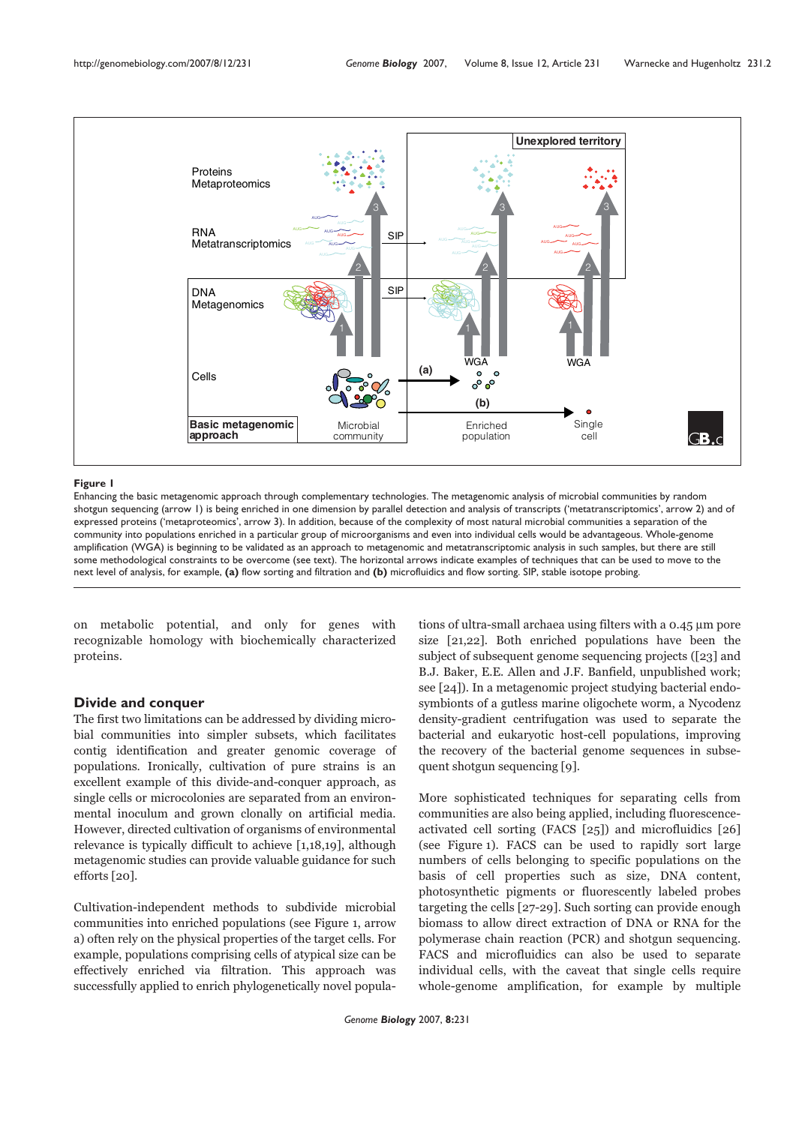

#### **Figure 1**

Enhancing the basic metagenomic approach through complementary technologies. The metagenomic analysis of microbial communities by random shotgun sequencing (arrow 1) is being enriched in one dimension by parallel detection and analysis of transcripts ('metatranscriptomics', arrow 2) and of expressed proteins ('metaproteomics', arrow 3). In addition, because of the complexity of most natural microbial communities a separation of the community into populations enriched in a particular group of microorganisms and even into individual cells would be advantageous. Whole-genome amplification (WGA) is beginning to be validated as an approach to metagenomic and metatranscriptomic analysis in such samples, but there are still some methodological constraints to be overcome (see text). The horizontal arrows indicate examples of techniques that can be used to move to the next level of analysis, for example, **(a)** flow sorting and filtration and **(b)** microfluidics and flow sorting. SIP, stable isotope probing.

on metabolic potential, and only for genes with recognizable homology with biochemically characterized proteins.

# **Divide and conquer**

The first two limitations can be addressed by dividing microbial communities into simpler subsets, which facilitates contig identification and greater genomic coverage of populations. Ironically, cultivation of pure strains is an excellent example of this divide-and-conquer approach, as single cells or microcolonies are separated from an environmental inoculum and grown clonally on artificial media. However, directed cultivation of organisms of environmental relevance is typically difficult to achieve [1,18,19], although metagenomic studies can provide valuable guidance for such efforts [20].

Cultivation-independent methods to subdivide microbial communities into enriched populations (see Figure 1, arrow a) often rely on the physical properties of the target cells. For example, populations comprising cells of atypical size can be effectively enriched via filtration. This approach was successfully applied to enrich phylogenetically novel populations of ultra-small archaea using filters with a 0.45 µm pore size [21,22]. Both enriched populations have been the subject of subsequent genome sequencing projects ([23] and B.J. Baker, E.E. Allen and J.F. Banfield, unpublished work; see [24]). In a metagenomic project studying bacterial endosymbionts of a gutless marine oligochete worm, a Nycodenz density-gradient centrifugation was used to separate the bacterial and eukaryotic host-cell populations, improving the recovery of the bacterial genome sequences in subsequent shotgun sequencing [9].

More sophisticated techniques for separating cells from communities are also being applied, including fluorescenceactivated cell sorting (FACS [25]) and microfluidics [26] (see Figure 1). FACS can be used to rapidly sort large numbers of cells belonging to specific populations on the basis of cell properties such as size, DNA content, photosynthetic pigments or fluorescently labeled probes targeting the cells [27-29]. Such sorting can provide enough biomass to allow direct extraction of DNA or RNA for the polymerase chain reaction (PCR) and shotgun sequencing. FACS and microfluidics can also be used to separate individual cells, with the caveat that single cells require whole-genome amplification, for example by multiple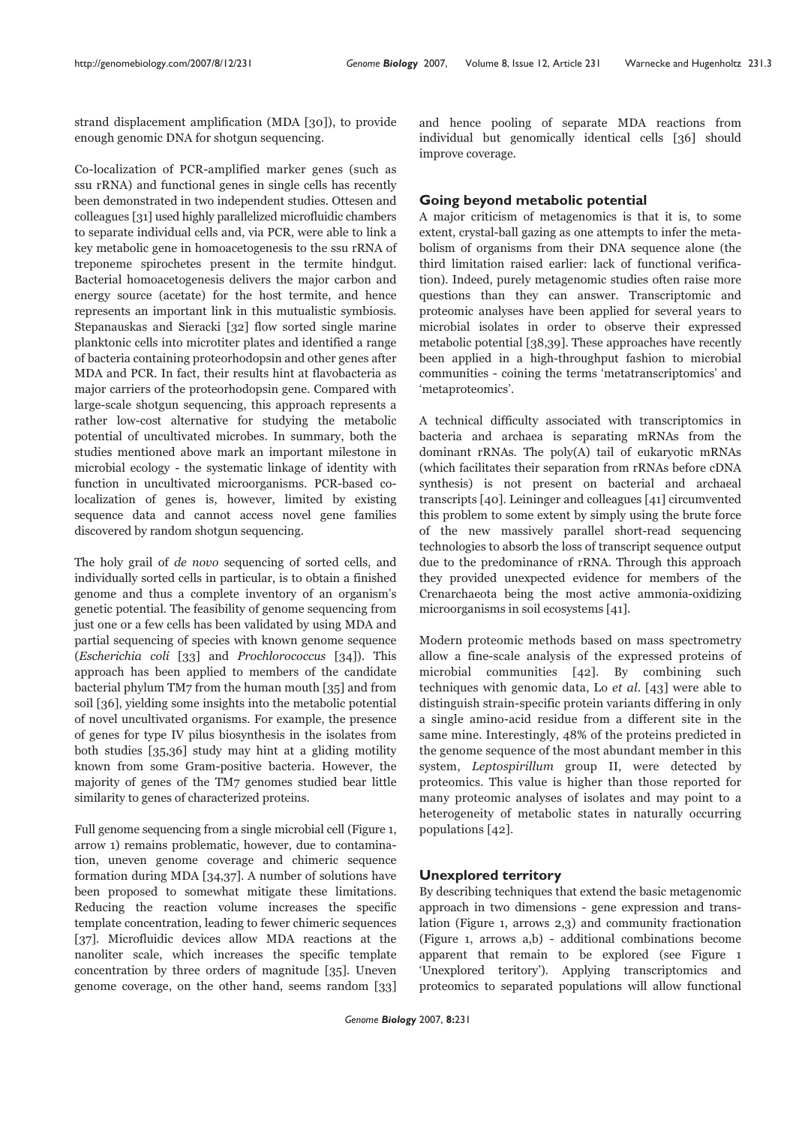strand displacement amplification (MDA [30]), to provide enough genomic DNA for shotgun sequencing.

Co-localization of PCR-amplified marker genes (such as ssu rRNA) and functional genes in single cells has recently been demonstrated in two independent studies. Ottesen and colleagues [31] used highly parallelized microfluidic chambers to separate individual cells and, via PCR, were able to link a key metabolic gene in homoacetogenesis to the ssu rRNA of treponeme spirochetes present in the termite hindgut. Bacterial homoacetogenesis delivers the major carbon and energy source (acetate) for the host termite, and hence represents an important link in this mutualistic symbiosis. Stepanauskas and Sieracki [32] flow sorted single marine planktonic cells into microtiter plates and identified a range of bacteria containing proteorhodopsin and other genes after MDA and PCR. In fact, their results hint at flavobacteria as major carriers of the proteorhodopsin gene. Compared with large-scale shotgun sequencing, this approach represents a rather low-cost alternative for studying the metabolic potential of uncultivated microbes. In summary, both the studies mentioned above mark an important milestone in microbial ecology - the systematic linkage of identity with function in uncultivated microorganisms. PCR-based colocalization of genes is, however, limited by existing sequence data and cannot access novel gene families discovered by random shotgun sequencing.

The holy grail of de novo sequencing of sorted cells, and individually sorted cells in particular, is to obtain a finished genome and thus a complete inventory of an organism's genetic potential. The feasibility of genome sequencing from just one or a few cells has been validated by using MDA and partial sequencing of species with known genome sequence (Escherichia coli [33] and Prochlorococcus [34]). This approach has been applied to members of the candidate bacterial phylum TM7 from the human mouth [35] and from soil [36], yielding some insights into the metabolic potential of novel uncultivated organisms. For example, the presence of genes for type IV pilus biosynthesis in the isolates from both studies [35,36] study may hint at a gliding motility known from some Gram-positive bacteria. However, the majority of genes of the TM7 genomes studied bear little similarity to genes of characterized proteins.

Full genome sequencing from a single microbial cell (Figure 1, arrow 1) remains problematic, however, due to contamination, uneven genome coverage and chimeric sequence formation during MDA [34,37]. A number of solutions have been proposed to somewhat mitigate these limitations. Reducing the reaction volume increases the specific template concentration, leading to fewer chimeric sequences [37]. Microfluidic devices allow MDA reactions at the nanoliter scale, which increases the specific template concentration by three orders of magnitude [35]. Uneven genome coverage, on the other hand, seems random [33] and hence pooling of separate MDA reactions from individual but genomically identical cells [36] should improve coverage.

#### **Going beyond metabolic potential**

A major criticism of metagenomics is that it is, to some extent, crystal-ball gazing as one attempts to infer the metabolism of organisms from their DNA sequence alone (the third limitation raised earlier: lack of functional verification). Indeed, purely metagenomic studies often raise more questions than they can answer. Transcriptomic and proteomic analyses have been applied for several years to microbial isolates in order to observe their expressed metabolic potential [38,39]. These approaches have recently been applied in a high-throughput fashion to microbial communities - coining the terms 'metatranscriptomics' and 'metaproteomics'.

A technical difficulty associated with transcriptomics in bacteria and archaea is separating mRNAs from the dominant rRNAs. The poly(A) tail of eukaryotic mRNAs (which facilitates their separation from rRNAs before cDNA synthesis) is not present on bacterial and archaeal transcripts [40]. Leininger and colleagues [41] circumvented this problem to some extent by simply using the brute force of the new massively parallel short-read sequencing technologies to absorb the loss of transcript sequence output due to the predominance of rRNA. Through this approach they provided unexpected evidence for members of the Crenarchaeota being the most active ammonia-oxidizing microorganisms in soil ecosystems [41].

Modern proteomic methods based on mass spectrometry allow a fine-scale analysis of the expressed proteins of microbial communities [42]. By combining such techniques with genomic data, Lo et al. [43] were able to distinguish strain-specific protein variants differing in only a single amino-acid residue from a different site in the same mine. Interestingly, 48% of the proteins predicted in the genome sequence of the most abundant member in this system, Leptospirillum group II, were detected by proteomics. This value is higher than those reported for many proteomic analyses of isolates and may point to a heterogeneity of metabolic states in naturally occurring populations [42].

# **Unexplored territory**

By describing techniques that extend the basic metagenomic approach in two dimensions - gene expression and translation (Figure 1, arrows 2,3) and community fractionation (Figure 1, arrows a,b) - additional combinations become apparent that remain to be explored (see Figure 1 'Unexplored teritory'). Applying transcriptomics and proteomics to separated populations will allow functional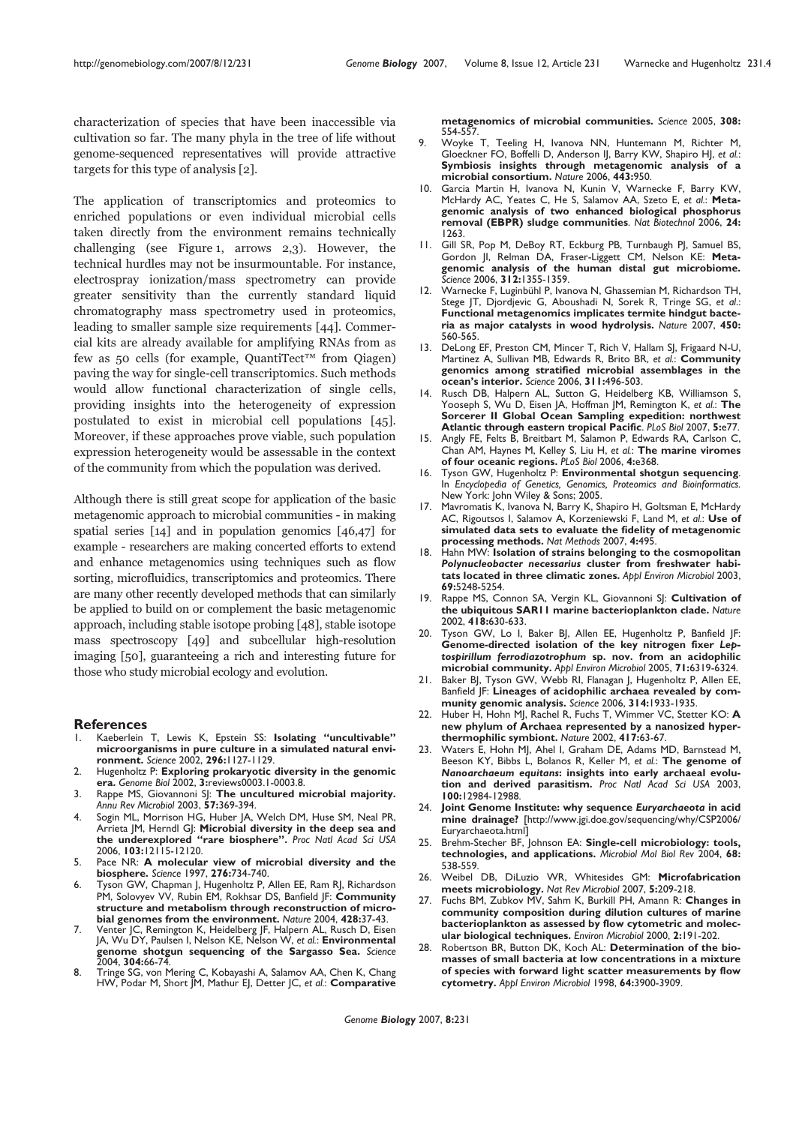characterization of species that have been inaccessible via cultivation so far. The many phyla in the tree of life without genome-sequenced representatives will provide attractive targets for this type of analysis [2].

The application of transcriptomics and proteomics to enriched populations or even individual microbial cells taken directly from the environment remains technically challenging (see Figure 1, arrows 2,3). However, the technical hurdles may not be insurmountable. For instance, electrospray ionization/mass spectrometry can provide greater sensitivity than the currently standard liquid chromatography mass spectrometry used in proteomics, leading to smaller sample size requirements [44]. Commercial kits are already available for amplifying RNAs from as few as 50 cells (for example, QuantiTect™ from Qiagen) paving the way for single-cell transcriptomics. Such methods would allow functional characterization of single cells, providing insights into the heterogeneity of expression postulated to exist in microbial cell populations [45]. Moreover, if these approaches prove viable, such population expression heterogeneity would be assessable in the context of the community from which the population was derived.

Although there is still great scope for application of the basic metagenomic approach to microbial communities - in making spatial series [14] and in population genomics [46,47] for example - researchers are making concerted efforts to extend and enhance metagenomics using techniques such as flow sorting, microfluidics, transcriptomics and proteomics. There are many other recently developed methods that can similarly be applied to build on or complement the basic metagenomic approach, including stable isotope probing [48], stable isotope mass spectroscopy [49] and subcellular high-resolution imaging [50], guaranteeing a rich and interesting future for those who study microbial ecology and evolution.

#### **References**

- 1. Kaeberlein T, Lewis K, Epstein SS: **Isolating "uncultivable" microorganisms in pure culture in a simulated natural environment.** *Science* 2002, **296:**1127-1129.
- 2. Hugenholtz P: **Exploring prokaryotic diversity in the genomic era.** *Genome Biol* 2002, **3:**reviews0003.1-0003.8.
- 3. Rappe MS, Giovannoni SJ: **The uncultured microbial majority.** *Annu Rev Microbiol* 2003, **57:**369-394.
- Sogin ML, Morrison HG, Huber JA, Welch DM, Huse SM, Neal PR, Arrieta | M, Herndl G|: Microbial diversity in the deep sea and **the underexplored "rare biosphere".** *Proc Natl Acad Sci USA* 2006, **103:**12115-12120.
- 5. Pace NR: **A molecular view of microbial diversity and the biosphere.** *Science* 1997, **276:**734-740.
- 6. Tyson GW, Chapman J, Hugenholtz P, Allen EE, Ram RJ, Richardson PM, Solovyev VV, Rubin EM, Rokhsar DS, Banfield JF: **Community structure and metabolism through reconstruction of microbial genomes from the environment.** *Nature* 2004, **428:**37-43.
- 7. Venter JC, Remington K, Heidelberg JF, Halpern AL, Rusch D, Eisen JA, Wu DY, Paulsen I, Nelson KE, Nelson W, *et al.*: **Environmental genome shotgun sequencing of the Sargasso Sea.** *Science* 2004, **304:**66-74.
- 8. Tringe SG, von Mering C, Kobayashi A, Salamov AA, Chen K, Chang HW, Podar M, Short JM, Mathur EJ, Detter JC, *et al.*: **Comparative**

**metagenomics of microbial communities.** *Science* 2005, **308:** 554-557.

- 9. Woyke T, Teeling H, Ivanova NN, Huntemann M, Richter M, Gloeckner FO, Boffelli D, Anderson IJ, Barry KW, Shapiro HJ, *et al.*: **Symbiosis insights through metagenomic analysis of a microbial consortium.** *Nature* 2006, **443:**950.
- 10. Garcia Martin H, Ivanova N, Kunin V, Warnecke F, Barry KW, McHardy AC, Yeates C, He S, Salamov AA, Szeto E, *et al.*: **Metagenomic analysis of two enhanced biological phosphorus removal (EBPR) sludge communities**. *Nat Biotechnol* 2006, **24:** 1263.
- 11. Gill SR, Pop M, DeBoy RT, Eckburg PB, Turnbaugh PJ, Samuel BS, Gordon JI, Relman DA, Fraser-Liggett CM, Nelson KE: **Metagenomic analysis of the human distal gut microbiome.** *Science* 2006, **312:**1355-1359.
- 12. Warnecke F, Luginbühl P, Ivanova N, Ghassemian M, Richardson TH, Stege JT, Djordjevic G, Aboushadi N, Sorek R, Tringe SG, *et al*.: **Functional metagenomics implicates termite hindgut bacteria as major catalysts in wood hydrolysis.** *Nature* 2007, **450:** 560-565.
- 13. DeLong EF, Preston CM, Mincer T, Rich V, Hallam SJ, Frigaard N-U, Martinez A, Sullivan MB, Edwards R, Brito BR, *et al.*: **Community genomics among stratified microbial assemblages in the ocean's interior.** *Science* 2006, **311:**496-503.
- Rusch DB, Halpern AL, Sutton G, Heidelberg KB, Williamson S, Yooseph S, Wu D, Eisen JA, Hoffman JM, Remington K, *et al.*: **The Sorcerer II Global Ocean Sampling expedition: northwest Atlantic through eastern tropical Pacific**. *PLoS Biol* 2007, **5:**e77.
- 15. Angly FE, Felts B, Breitbart M, Salamon P, Edwards RA, Carlson C, Chan AM, Haynes M, Kelley S, Liu H, *et al.*: **The marine viromes of four oceanic regions.** *PLoS Biol* 2006, **4:**e368.
- 16. Tyson GW, Hugenholtz P: **Environmental shotgun sequencing**. In *Encyclopedia of Genetics, Genomics, Proteomics and Bioinformatics.* New York: John Wiley & Sons; 2005.
- 17. Mavromatis K, Ivanova N, Barry K, Shapiro H, Goltsman E, McHardy AC, Rigoutsos I, Salamov A, Korzeniewski F, Land M, *et al.*: **Use of simulated data sets to evaluate the fidelity of metagenomic processing methods.** *Nat Methods* 2007, **4:**495.
- 18. Hahn MW: **Isolation of strains belonging to the cosmopolitan** *Polynucleobacter necessarius* **cluster from freshwater habitats located in three climatic zones.** *Appl Environ Microbiol* 2003, **69:**5248-5254.
- 19. Rappe MS, Connon SA, Vergin KL, Giovannoni SJ: **Cultivation of the ubiquitous SAR11 marine bacterioplankton clade.** *Nature* 2002, **418:**630-633.
- Tyson GW, Lo I, Baker BJ, Allen EE, Hugenholtz P, Banfield JF: **Genome-directed isolation of the key nitrogen fixer** *Leptospirillum ferrodiazotrophum* **sp. nov. from an acidophilic microbial community.** *Appl Environ Microbiol* 2005, **71:**6319-6324.
- 21. Baker BJ, Tyson GW, Webb RI, Flanagan J, Hugenholtz P, Allen EE, Banfield JF: **Lineages of acidophilic archaea revealed by community genomic analysis.** *Science* 2006, **314:**1933-1935.
- 22. Huber H, Hohn MJ, Rachel R, Fuchs T, Wimmer VC, Stetter KO: **A new phylum of Archaea represented by a nanosized hyperthermophilic symbiont.** *Nature* 2002, **417:**63-67.
- 23. Waters E, Hohn MJ, Ahel I, Graham DE, Adams MD, Barnstead M, Beeson KY, Bibbs L, Bolanos R, Keller M, *et al.*: **The genome of** *Nanoarchaeum equitans***: insights into early archaeal evolution and derived parasitism.** *Proc Natl Acad Sci USA* 2003, **100:**12984-12988.
- 24. **Joint Genome Institute: why sequence** *Euryarchaeota* **in acid mine drainage?** [http://www.jgi.doe.gov/sequencing/why/CSP2006/ Euryarchaeota.html]
- 25. Brehm-Stecher BF, Johnson EA: **Single-cell microbiology: tools, technologies, and applications.** *Microbiol Mol Biol Rev* 2004, **68:** 538-559.
- 26. Weibel DB, DiLuzio WR, Whitesides GM: **Microfabrication meets microbiology.** *Nat Rev Microbiol* 2007, **5:**209-218.
- 27. Fuchs BM, Zubkov MV, Sahm K, Burkill PH, Amann R: **Changes in community composition during dilution cultures of marine bacterioplankton as assessed by flow cytometric and molecular biological techniques.** *Environ Microbiol* 2000, **2:**191-202.
- 28. Robertson BR, Button DK, Koch AL: **Determination of the biomasses of small bacteria at low concentrations in a mixture of species with forward light scatter measurements by flow cytometry.** *Appl Environ Microbiol* 1998, **64:**3900-3909.